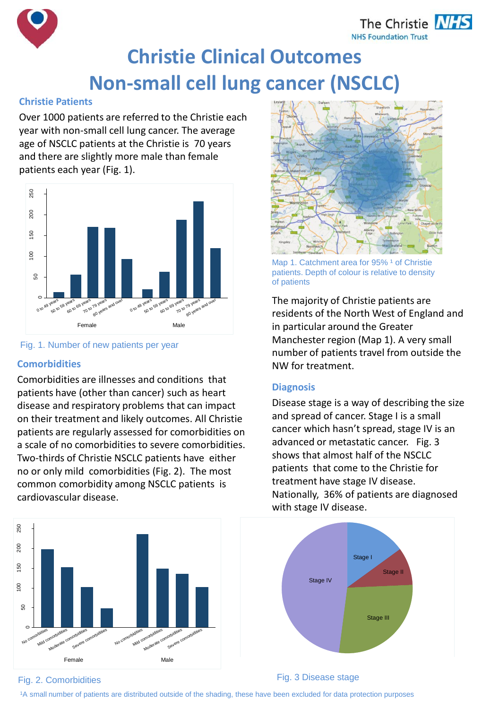The Christie **NHS NHS Foundation Trust** 



# **Christie Clinical Outcomes Non-small cell lung cancer (NSCLC)**

### **Christie Patients**

Over 1000 patients are referred to the Christie each year with non-small cell lung cancer. The average age of NSCLC patients at the Christie is 70 years and there are slightly more male than female patients each year (Fig. 1).



#### Fig. 1. Number of new patients per year

## **Comorbidities**

Comorbidities are illnesses and conditions that patients have (other than cancer) such as heart disease and respiratory problems that can impact on their treatment and likely outcomes. All Christie patients are regularly assessed for comorbidities on a scale of no comorbidities to severe comorbidities. Two-thirds of Christie NSCLC patients have either no or only mild comorbidities (Fig. 2). The most common comorbidity among NSCLC patients is cardiovascular disease.





Map 1. Catchment area for 95%<sup>1</sup> of Christie patients. Depth of colour is relative to density of patients

The majority of Christie patients are residents of the North West of England and in particular around the Greater Manchester region (Map 1). A very small number of patients travel from outside the NW for treatment.

#### **Diagnosis**

Disease stage is a way of describing the size and spread of cancer. Stage I is a small cancer which hasn't spread, stage IV is an advanced or metastatic cancer. Fig. 3 shows that almost half of the NSCLC patients that come to the Christie for treatment have stage IV disease. Nationally, 36% of patients are diagnosed with stage IV disease.



#### Fig. 2. Comorbidities Fig. 3 Disease stage

1A small number of patients are distributed outside of the shading, these have been excluded for data protection purposes